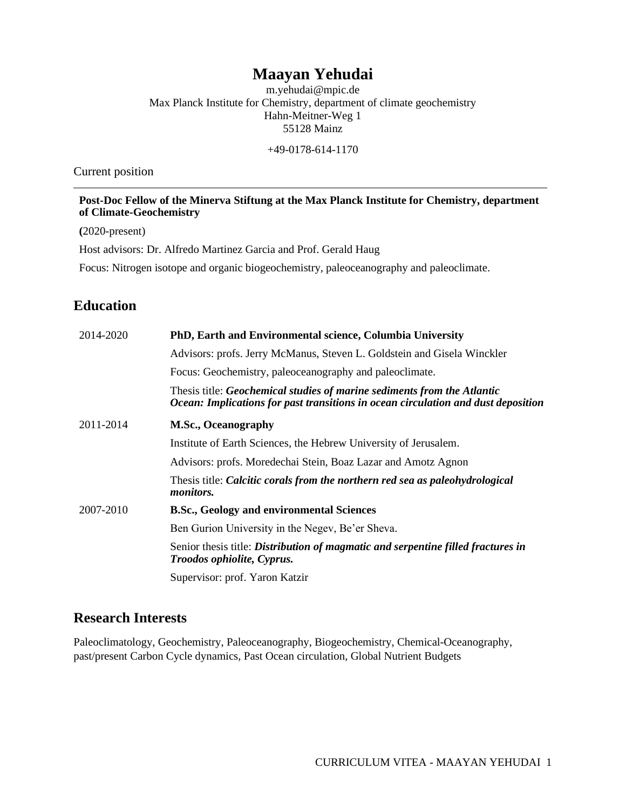# **Maayan Yehudai**

m.yehudai@mpic.de Max Planck Institute for Chemistry, department of climate geochemistry Hahn-Meitner-Weg 1 55128 Mainz

+49-0178-614-1170

Current position

**Post-Doc Fellow of the Minerva Stiftung at the Max Planck Institute for Chemistry, department of Climate-Geochemistry**

**(**2020-present)

Host advisors: Dr. Alfredo Martinez Garcia and Prof. Gerald Haug

Focus: Nitrogen isotope and organic biogeochemistry, paleoceanography and paleoclimate.

## **Education**

| 2014-2020 | PhD, Earth and Environmental science, Columbia University                                                                                                    |  |
|-----------|--------------------------------------------------------------------------------------------------------------------------------------------------------------|--|
|           | Advisors: profs. Jerry McManus, Steven L. Goldstein and Gisela Winckler                                                                                      |  |
|           | Focus: Geochemistry, paleoceanography and paleoclimate.                                                                                                      |  |
|           | Thesis title: Geochemical studies of marine sediments from the Atlantic<br>Ocean: Implications for past transitions in ocean circulation and dust deposition |  |
| 2011-2014 | <b>M.Sc., Oceanography</b>                                                                                                                                   |  |
|           | Institute of Earth Sciences, the Hebrew University of Jerusalem.                                                                                             |  |
|           | Advisors: profs. Moredechai Stein, Boaz Lazar and Amotz Agnon                                                                                                |  |
|           | Thesis title: Calcitic corals from the northern red sea as paleohydrological<br><i>monitors.</i>                                                             |  |
| 2007-2010 | <b>B.Sc., Geology and environmental Sciences</b>                                                                                                             |  |
|           | Ben Gurion University in the Negev, Be'er Sheva.                                                                                                             |  |
|           | Senior thesis title: Distribution of magmatic and serpentine filled fractures in<br>Troodos ophiolite, Cyprus.                                               |  |
|           | Supervisor: prof. Yaron Katzir                                                                                                                               |  |

## **Research Interests**

Paleoclimatology, Geochemistry, Paleoceanography, Biogeochemistry, Chemical-Oceanography, past/present Carbon Cycle dynamics, Past Ocean circulation, Global Nutrient Budgets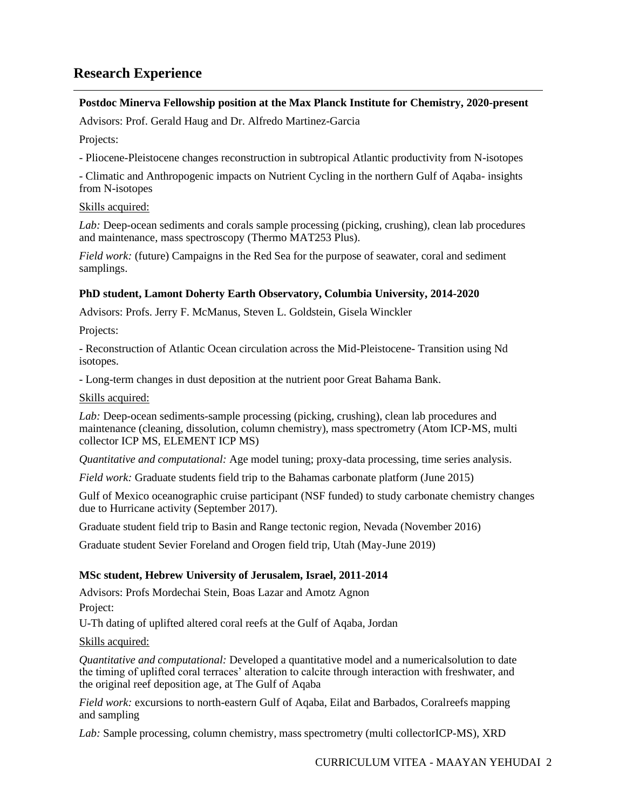## **Research Experience**

### **Postdoc Minerva Fellowship position at the Max Planck Institute for Chemistry, 2020-present**

Advisors: Prof. Gerald Haug and Dr. Alfredo Martinez-Garcia

Projects:

- Pliocene-Pleistocene changes reconstruction in subtropical Atlantic productivity from N-isotopes

- Climatic and Anthropogenic impacts on Nutrient Cycling in the northern Gulf of Aqaba- insights from N-isotopes

### Skills acquired:

*Lab:* Deep-ocean sediments and corals sample processing (picking, crushing), clean lab procedures and maintenance, mass spectroscopy (Thermo MAT253 Plus).

*Field work:* (future) Campaigns in the Red Sea for the purpose of seawater, coral and sediment samplings.

### **PhD student, Lamont Doherty Earth Observatory, Columbia University, 2014-2020**

Advisors: Profs. Jerry F. McManus, Steven L. Goldstein, Gisela Winckler

Projects:

- Reconstruction of Atlantic Ocean circulation across the Mid-Pleistocene- Transition using Nd isotopes.

- Long-term changes in dust deposition at the nutrient poor Great Bahama Bank.

#### Skills acquired:

*Lab:* Deep-ocean sediments-sample processing (picking, crushing), clean lab procedures and maintenance (cleaning, dissolution, column chemistry), mass spectrometry (Atom ICP-MS, multi collector ICP MS, ELEMENT ICP MS)

*Quantitative and computational:* Age model tuning; proxy-data processing, time series analysis.

*Field work:* Graduate students field trip to the Bahamas carbonate platform (June 2015)

Gulf of Mexico oceanographic cruise participant (NSF funded) to study carbonate chemistry changes due to Hurricane activity (September 2017).

Graduate student field trip to Basin and Range tectonic region, Nevada (November 2016)

Graduate student Sevier Foreland and Orogen field trip, Utah (May-June 2019)

### **MSc student, Hebrew University of Jerusalem, Israel, 2011-2014**

Advisors: Profs Mordechai Stein, Boas Lazar and Amotz Agnon Project:

U-Th dating of uplifted altered coral reefs at the Gulf of Aqaba, Jordan

Skills acquired:

*Quantitative and computational:* Developed a quantitative model and a numericalsolution to date the timing of uplifted coral terraces' alteration to calcite through interaction with freshwater, and the original reef deposition age, at The Gulf of Aqaba

*Field work:* excursions to north-eastern Gulf of Aqaba, Eilat and Barbados, Coralreefs mapping and sampling

*Lab:* Sample processing, column chemistry, mass spectrometry (multi collectorICP-MS), XRD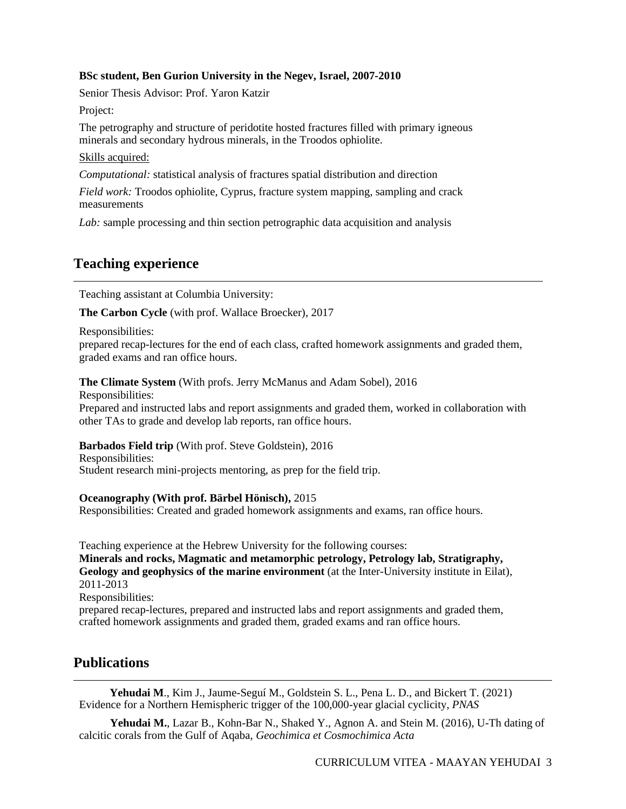### **BSc student, Ben Gurion University in the Negev, Israel, 2007-2010**

Senior Thesis Advisor: Prof. Yaron Katzir

Project:

The petrography and structure of peridotite hosted fractures filled with primary igneous minerals and secondary hydrous minerals, in the Troodos ophiolite.

#### Skills acquired:

*Computational:* statistical analysis of fractures spatial distribution and direction

*Field work:* Troodos ophiolite, Cyprus, fracture system mapping, sampling and crack measurements

*Lab:* sample processing and thin section petrographic data acquisition and analysis

## **Teaching experience**

Teaching assistant at Columbia University:

**The Carbon Cycle** (with prof. Wallace Broecker), 2017

Responsibilities:

prepared recap-lectures for the end of each class, crafted homework assignments and graded them, graded exams and ran office hours.

**The Climate System** (With profs. Jerry McManus and Adam Sobel), 2016

Responsibilities:

Prepared and instructed labs and report assignments and graded them, worked in collaboration with other TAs to grade and develop lab reports, ran office hours.

**Barbados Field trip** (With prof. Steve Goldstein), 2016

Responsibilities: Student research mini-projects mentoring, as prep for the field trip.

**Oceanography (With prof. Bärbel Hönisch),** 2015

Responsibilities: Created and graded homework assignments and exams, ran office hours.

Teaching experience at the Hebrew University for the following courses:

**Minerals and rocks, Magmatic and metamorphic petrology, Petrology lab, Stratigraphy, Geology and geophysics of the marine environment** (at the Inter-University institute in Eilat), 2011-2013 Responsibilities:

prepared recap-lectures, prepared and instructed labs and report assignments and graded them, crafted homework assignments and graded them, graded exams and ran office hours.

## **Publications**

 **Yehudai M**., Kim J., Jaume-Seguí M., Goldstein S. L., Pena L. D., and Bickert T. (2021) Evidence for a Northern Hemispheric trigger of the 100,000-year glacial cyclicity, *PNAS*

**Yehudai M.**, Lazar B., Kohn-Bar N., Shaked Y., Agnon A. and Stein M. (2016), U-Th dating of calcitic corals from the Gulf of Aqaba, *Geochimica et Cosmochimica Acta*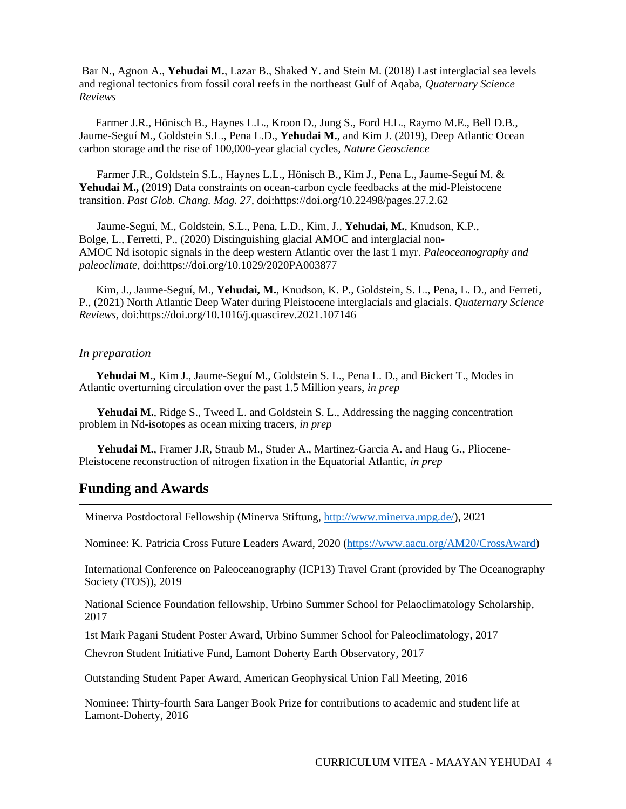Bar N., Agnon A., **Yehudai M.**, Lazar B., Shaked Y. and Stein M. (2018) Last interglacial sea levels and regional tectonics from fossil coral reefs in the northeast Gulf of Aqaba, *Quaternary Science Reviews*

Farmer J.R., Hönisch B., Haynes L.L., Kroon D., Jung S., Ford H.L., Raymo M.E., Bell D.B., Jaume-Seguí M., Goldstein S.L., Pena L.D., **Yehudai M.**, and Kim J. (2019), Deep Atlantic Ocean carbon storage and the rise of 100,000-year glacial cycles*, Nature Geoscience*

Farmer J.R., Goldstein S.L., Haynes L.L., Hönisch B., Kim J., Pena L., Jaume-Seguí M. & Yehudai M., (2019) Data constraints on ocean-carbon cycle feedbacks at the mid-Pleistocene transition. *Past Glob. Chang. Mag. 27,* doi:https://doi.org/10.22498/pages.27.2.62

Jaume-Seguí, M., Goldstein, S.L., Pena, L.D., Kim, J., **Yehudai, M.**, Knudson, K.P., Bolge, L., Ferretti, P., (2020) Distinguishing glacial AMOC and interglacial non-AMOC Nd isotopic signals in the deep western Atlantic over the last 1 myr. *Paleoceanography and paleoclimate*, doi:https://doi.org/10.1029/2020PA003877

 Kim, J., Jaume-Seguí, M., **Yehudai, M.**, Knudson, K. P., Goldstein, S. L., Pena, L. D., and Ferreti, P., (2021) North Atlantic Deep Water during Pleistocene interglacials and glacials. *Quaternary Science Reviews,* doi:https://doi.org/10.1016/j.quascirev.2021.107146

#### *In preparation*

 **Yehudai M.**, Kim J., Jaume-Seguí M., Goldstein S. L., Pena L. D., and Bickert T., Modes in Atlantic overturning circulation over the past 1.5 Million years, *in prep* 

**Yehudai M.**, Ridge S., Tweed L. and Goldstein S. L., Addressing the nagging concentration problem in Nd-isotopes as ocean mixing tracers, *in prep*

**Yehudai M.**, Framer J.R, Straub M., Studer A., Martinez-Garcia A. and Haug G., Pliocene-Pleistocene reconstruction of nitrogen fixation in the Equatorial Atlantic, *in prep*

### **Funding and Awards**

Minerva Postdoctoral Fellowship (Minerva Stiftung, [http://www.minerva.mpg.de/\)](http://www.minerva.mpg.de/), 2021

Nominee: K. Patricia Cross Future Leaders Award, 2020 [\(https://www.aacu.org/AM20/CrossAward\)](https://www.aacu.org/AM20/CrossAward)

International Conference on Paleoceanography (ICP13) Travel Grant (provided by The Oceanography Society (TOS)), 2019

National Science Foundation fellowship, Urbino Summer School for Pelaoclimatology Scholarship, 2017

1st Mark Pagani Student Poster Award, Urbino Summer School for Paleoclimatology, 2017

Chevron Student Initiative Fund, Lamont Doherty Earth Observatory, 2017

Outstanding Student Paper Award, American Geophysical Union Fall Meeting, 2016

Nominee: Thirty-fourth Sara Langer Book Prize for contributions to academic and student life at Lamont-Doherty, 2016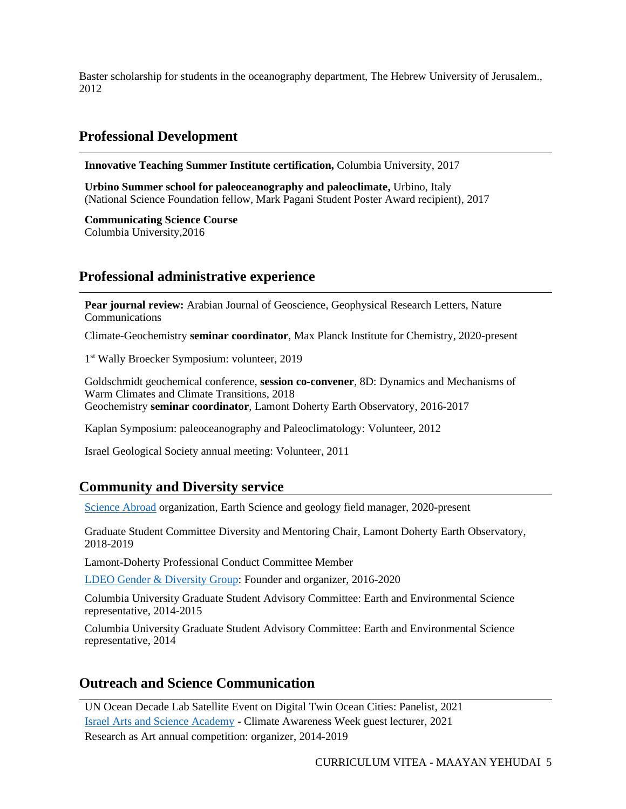Baster scholarship for students in the oceanography department, The Hebrew University of Jerusalem., 2012

## **Professional Development**

**Innovative Teaching Summer Institute certification,** Columbia University, 2017

**Urbino Summer school for paleoceanography and paleoclimate,** Urbino, Italy (National Science Foundation fellow, Mark Pagani Student Poster Award recipient), 2017

**Communicating Science Course** Columbia University,2016

## **Professional administrative experience**

**Pear journal review:** Arabian Journal of Geoscience, Geophysical Research Letters, Nature Communications

Climate-Geochemistry **seminar coordinator**, Max Planck Institute for Chemistry, 2020-present

1 st Wally Broecker Symposium: volunteer, 2019

Goldschmidt geochemical conference, **session co-convener**, 8D: Dynamics and Mechanisms of Warm Climates and Climate Transitions, 2018 Geochemistry **seminar coordinator**, Lamont Doherty Earth Observatory, 2016-2017

Kaplan Symposium: paleoceanography and Paleoclimatology: Volunteer, 2012

Israel Geological Society annual meeting: Volunteer, 2011

### **Community and Diversity service**

[Science Abroad](https://www.scienceabroad.org.il/) organization, Earth Science and geology field manager, 2020-present

Graduate Student Committee Diversity and Mentoring Chair, Lamont Doherty Earth Observatory, 2018-2019

Lamont-Doherty Professional Conduct Committee Member

[LDEO Gender & Diversity Group:](https://diversity.ldeo.columbia.edu/content/gender-diversity-coffee-hour) Founder and organizer, 2016-2020

Columbia University Graduate Student Advisory Committee: Earth and Environmental Science representative, 2014-2015

Columbia University Graduate Student Advisory Committee: Earth and Environmental Science representative, 2014

## **Outreach and Science Communication**

UN Ocean Decade Lab Satellite Event on Digital Twin Ocean Cities: Panelist, 2021 [Israel Arts and Science Academy](https://school.iasa.org.il/about-iasa/) - Climate Awareness Week guest lecturer, 2021 Research as Art annual competition: organizer, 2014-2019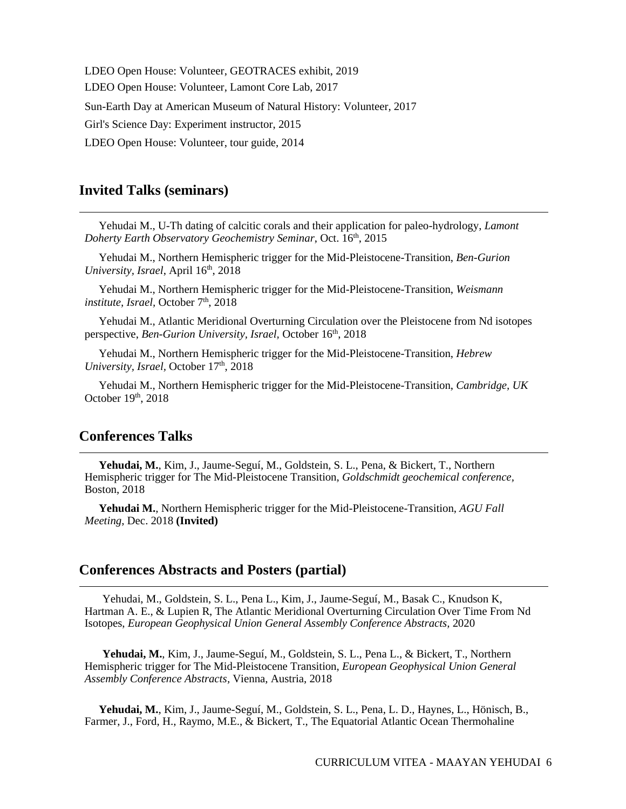LDEO Open House: Volunteer, GEOTRACES exhibit, 2019 LDEO Open House: Volunteer, Lamont Core Lab, 2017 Sun-Earth Day at American Museum of Natural History: Volunteer, 2017 Girl's Science Day: Experiment instructor, 2015 LDEO Open House: Volunteer, tour guide, 2014

## **Invited Talks (seminars)**

 Yehudai M., U-Th dating of calcitic corals and their application for paleo-hydrology, *Lamont Doherty Earth Observatory Geochemistry Seminar*, Oct. 16th, 2015

 Yehudai M., Northern Hemispheric trigger for the Mid-Pleistocene-Transition, *Ben-Gurion University, Israel, April* 16<sup>th</sup>, 2018

 Yehudai M., Northern Hemispheric trigger for the Mid-Pleistocene-Transition, *Weismann institute, Israel, October 7th, 2018* 

 Yehudai M., Atlantic Meridional Overturning Circulation over the Pleistocene from Nd isotopes perspective, *Ben-Gurion University, Israel*, October 16<sup>th</sup>, 2018

 Yehudai M., Northern Hemispheric trigger for the Mid-Pleistocene-Transition, *Hebrew University, Israel, October 17th, 2018* 

 Yehudai M., Northern Hemispheric trigger for the Mid-Pleistocene-Transition, *Cambridge, UK* October 19th, 2018

## **Conferences Talks**

 **Yehudai, M.**, Kim, J., Jaume-Seguí, M., Goldstein, S. L., Pena, & Bickert, T., Northern Hemispheric trigger for The Mid-Pleistocene Transition, *Goldschmidt geochemical conference,* Boston, 2018

 **Yehudai M.**, Northern Hemispheric trigger for the Mid-Pleistocene-Transition, *AGU Fall Meeting*, Dec. 2018 **(Invited)**

## **Conferences Abstracts and Posters (partial)**

Yehudai, M., Goldstein, S. L., Pena L., Kim, J., Jaume-Seguí, M., Basak C., Knudson K, Hartman A. E., & Lupien R, The Atlantic Meridional Overturning Circulation Over Time From Nd Isotopes, *European Geophysical Union General Assembly Conference Abstracts,* 2020

**Yehudai, M.**, Kim, J., Jaume-Seguí, M., Goldstein, S. L., Pena L., & Bickert, T., Northern Hemispheric trigger for The Mid-Pleistocene Transition, *European Geophysical Union General Assembly Conference Abstracts,* Vienna, Austria, 2018

 **Yehudai, M.**, Kim, J., Jaume-Seguí, M., Goldstein, S. L., Pena, L. D., Haynes, L., Hönisch, B., Farmer, J., Ford, H., Raymo, M.E., & Bickert, T., The Equatorial Atlantic Ocean Thermohaline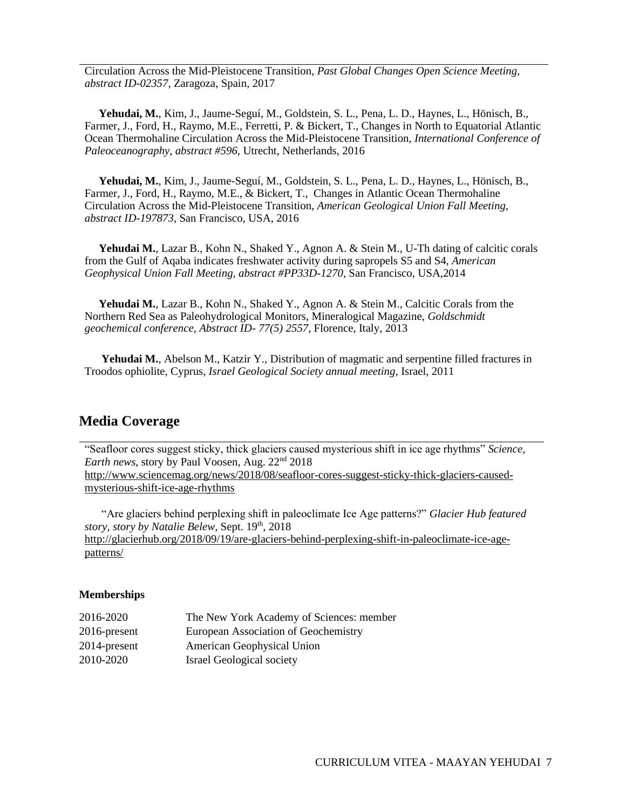Circulation Across the Mid-Pleistocene Transition, *Past Global Changes Open Science Meeting, abstract ID-02357,* Zaragoza, Spain, 2017

 **Yehudai, M.**, Kim, J., Jaume-Seguí, M., Goldstein, S. L., Pena, L. D., Haynes, L., Hönisch, B., Farmer, J., Ford, H., Raymo, M.E., Ferretti, P. & Bickert, T., Changes in North to Equatorial Atlantic Ocean Thermohaline Circulation Across the Mid-Pleistocene Transition, *International Conference of Paleoceanography, abstract #596,* Utrecht, Netherlands, 2016

 **Yehudai, M.**, Kim, J., Jaume-Seguí, M., Goldstein, S. L., Pena, L. D., Haynes, L., Hönisch, B., Farmer, J., Ford, H., Raymo, M.E., & Bickert, T., Changes in Atlantic Ocean Thermohaline Circulation Across the Mid-Pleistocene Transition, *American Geological Union Fall Meeting, abstract ID-197873,* San Francisco, USA, 2016

 **Yehudai M.**, Lazar B., Kohn N., Shaked Y., Agnon A. & Stein M., U-Th dating of calcitic corals from the Gulf of Aqaba indicates freshwater activity during sapropels S5 and S4, *American Geophysical Union Fall Meeting, abstract #PP33D-1270,* San Francisco, USA,2014

 **Yehudai M.**, Lazar B., Kohn N., Shaked Y., Agnon A. & Stein M., Calcitic Corals from the Northern Red Sea as Paleohydrological Monitors, Mineralogical Magazine, *Goldschmidt geochemical conference, Abstract ID- 77(5) 2557*, Florence, Italy, 2013

 **Yehudai M.**, Abelson M., Katzir Y., Distribution of magmatic and serpentine filled fractures in Troodos ophiolite, Cyprus, *Israel Geological Society annual meeting,* Israel, 2011

### **Media Coverage**

"Seafloor cores suggest sticky, thick glaciers caused mysterious shift in ice age rhythms" *Science, Earth news*, story by Paul Voosen, Aug. 22nd 2018 [http://www.sciencemag.org/news/2018/08/seafloor-cores-suggest-sticky-thick-glaciers-caused](http://www.sciencemag.org/news/2018/08/seafloor-cores-suggest-sticky-thick-glaciers-caused-mysterious-shift-ice-age-rhythms)[mysterious-shift-ice-age-rhythms](http://www.sciencemag.org/news/2018/08/seafloor-cores-suggest-sticky-thick-glaciers-caused-mysterious-shift-ice-age-rhythms)

 "Are glaciers behind perplexing shift in paleoclimate Ice Age patterns?" *Glacier Hub featured story, story by Natalie Belew*, Sept. 19th, 2018 [http://glacierhub.org/2018/09/19/are-glaciers-behind-perplexing-shift-in-paleoclimate-ice-age](http://glacierhub.org/2018/09/19/are-glaciers-behind-perplexing-shift-in-paleoclimate-ice-age-patterns/)[patterns/](http://glacierhub.org/2018/09/19/are-glaciers-behind-perplexing-shift-in-paleoclimate-ice-age-patterns/)

#### **Memberships**

| 2016-2020    | The New York Academy of Sciences: member |
|--------------|------------------------------------------|
| 2016-present | European Association of Geochemistry     |
| 2014-present | American Geophysical Union               |
| 2010-2020    | <b>Israel Geological society</b>         |